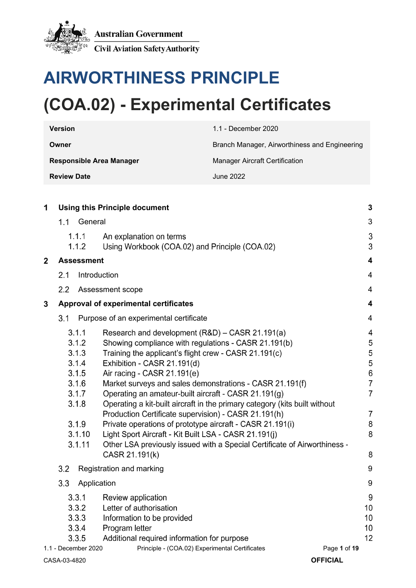

# **AIRWORTHINESS PRINCIPLE (COA.02) - Experimental Certificates**

| <b>Version</b>                  | 1.1 - December 2020                           |  |
|---------------------------------|-----------------------------------------------|--|
| Owner                           | Branch Manager, Airworthiness and Engineering |  |
| <b>Responsible Area Manager</b> | Manager Aircraft Certification                |  |
| <b>Review Date</b>              | June 2022                                     |  |

| 1              | <b>Using this Principle document</b>                                                              |                                                                                                                                                                                                                                                                                                                                                                                                                                                                                                                                                                                                                                                                                                               |                                                                                                         |
|----------------|---------------------------------------------------------------------------------------------------|---------------------------------------------------------------------------------------------------------------------------------------------------------------------------------------------------------------------------------------------------------------------------------------------------------------------------------------------------------------------------------------------------------------------------------------------------------------------------------------------------------------------------------------------------------------------------------------------------------------------------------------------------------------------------------------------------------------|---------------------------------------------------------------------------------------------------------|
|                | 1.1                                                                                               | General                                                                                                                                                                                                                                                                                                                                                                                                                                                                                                                                                                                                                                                                                                       | 3                                                                                                       |
|                | 1.1.1<br>1.1.2                                                                                    | An explanation on terms<br>Using Workbook (COA.02) and Principle (COA.02)                                                                                                                                                                                                                                                                                                                                                                                                                                                                                                                                                                                                                                     | 3<br>3                                                                                                  |
| $\overline{2}$ | Assessment                                                                                        |                                                                                                                                                                                                                                                                                                                                                                                                                                                                                                                                                                                                                                                                                                               | $\overline{\mathbf{4}}$                                                                                 |
|                | 2.1                                                                                               | Introduction                                                                                                                                                                                                                                                                                                                                                                                                                                                                                                                                                                                                                                                                                                  | $\overline{4}$                                                                                          |
|                | 2.2                                                                                               | Assessment scope                                                                                                                                                                                                                                                                                                                                                                                                                                                                                                                                                                                                                                                                                              | $\overline{4}$                                                                                          |
| 3              |                                                                                                   | Approval of experimental certificates                                                                                                                                                                                                                                                                                                                                                                                                                                                                                                                                                                                                                                                                         | $\overline{\mathbf{4}}$                                                                                 |
|                | Purpose of an experimental certificate<br>3.1                                                     |                                                                                                                                                                                                                                                                                                                                                                                                                                                                                                                                                                                                                                                                                                               | $\overline{4}$                                                                                          |
|                | 3.1.1<br>3.1.2<br>3.1.3<br>3.1.4<br>3.1.5<br>3.1.6<br>3.1.7<br>3.1.8<br>3.1.9<br>3.1.10<br>3.1.11 | Research and development (R&D) - CASR 21.191(a)<br>Showing compliance with regulations - CASR 21.191(b)<br>Training the applicant's flight crew - CASR 21.191(c)<br>Exhibition - CASR 21.191(d)<br>Air racing - CASR 21.191(e)<br>Market surveys and sales demonstrations - CASR 21.191(f)<br>Operating an amateur-built aircraft - CASR 21.191(g)<br>Operating a kit-built aircraft in the primary category (kits built without<br>Production Certificate supervision) - CASR 21.191(h)<br>Private operations of prototype aircraft - CASR 21.191(i)<br>Light Sport Aircraft - Kit Built LSA - CASR 21.191(j)<br>Other LSA previously issued with a Special Certificate of Airworthiness -<br>CASR 21.191(k) | 4<br>5<br>5<br>5<br>$6\phantom{a}$<br>$\overline{7}$<br>$\overline{7}$<br>$\overline{7}$<br>8<br>8<br>8 |
|                | 3.2                                                                                               | Registration and marking                                                                                                                                                                                                                                                                                                                                                                                                                                                                                                                                                                                                                                                                                      | 9                                                                                                       |
|                | 3.3                                                                                               | Application                                                                                                                                                                                                                                                                                                                                                                                                                                                                                                                                                                                                                                                                                                   | 9                                                                                                       |
|                | 3.3.1<br>3.3.2<br>3.3.3<br>3.3.4<br>3.3.5                                                         | Review application<br>Letter of authorisation<br>Information to be provided<br>Program letter<br>Additional required information for purpose                                                                                                                                                                                                                                                                                                                                                                                                                                                                                                                                                                  | 9<br>10<br>10<br>10<br>12                                                                               |
|                | 1.1 - December 2020                                                                               | Principle - (COA.02) Experimental Certificates<br>Page 1 of 19                                                                                                                                                                                                                                                                                                                                                                                                                                                                                                                                                                                                                                                |                                                                                                         |
|                | CASA-03-4820                                                                                      | <b>OFFICIAL</b>                                                                                                                                                                                                                                                                                                                                                                                                                                                                                                                                                                                                                                                                                               |                                                                                                         |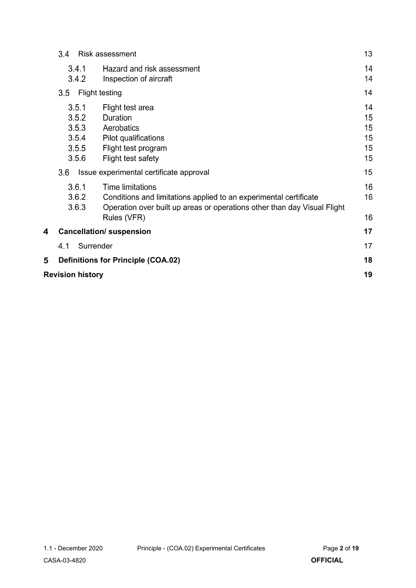|   | 3.4<br><b>Risk assessment</b>                      |                                                                                                                                                                                         |                                  |  |  |
|---|----------------------------------------------------|-----------------------------------------------------------------------------------------------------------------------------------------------------------------------------------------|----------------------------------|--|--|
|   | 3.4.1<br>3.4.2                                     | Hazard and risk assessment<br>Inspection of aircraft                                                                                                                                    | 14<br>14                         |  |  |
|   | 3.5<br><b>Flight testing</b>                       |                                                                                                                                                                                         |                                  |  |  |
|   | 3.5.1<br>3.5.2<br>3.5.3<br>3.5.4<br>3.5.5<br>3.5.6 | Flight test area<br>Duration<br>Aerobatics<br>Pilot qualifications<br>Flight test program<br>Flight test safety                                                                         | 14<br>15<br>15<br>15<br>15<br>15 |  |  |
|   | 3.6                                                | Issue experimental certificate approval                                                                                                                                                 | 15                               |  |  |
|   | 3.6.1<br>3.6.2<br>3.6.3                            | <b>Time limitations</b><br>Conditions and limitations applied to an experimental certificate<br>Operation over built up areas or operations other than day Visual Flight<br>Rules (VFR) | 16<br>16<br>16                   |  |  |
| 4 |                                                    | <b>Cancellation/ suspension</b>                                                                                                                                                         | 17                               |  |  |
|   | Surrender<br>4.1                                   |                                                                                                                                                                                         | 17                               |  |  |
| 5 |                                                    | <b>Definitions for Principle (COA.02)</b>                                                                                                                                               | 18                               |  |  |
|   | 19<br><b>Revision history</b>                      |                                                                                                                                                                                         |                                  |  |  |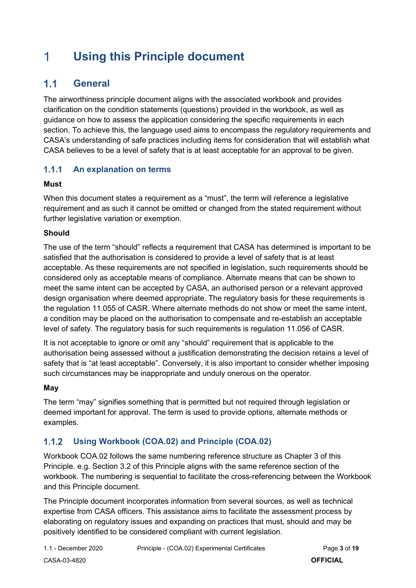### <span id="page-2-0"></span>1 **Using this Principle document**

### <span id="page-2-1"></span> $1.1$ **General**

The airworthiness principle document aligns with the associated workbook and provides clarification on the condition statements (questions) provided in the workbook, as well as guidance on how to assess the application considering the specific requirements in each section. To achieve this, the language used aims to encompass the regulatory requirements and CASA's understanding of safe practices including items for consideration that will establish what CASA believes to be a level of safety that is at least acceptable for an approval to be given.

#### $1.1.1$ **An explanation on terms**

### **Must**

When this document states a requirement as a "must", the term will reference a legislative requirement and as such it cannot be omitted or changed from the stated requirement without further legislative variation or exemption.

### **Should**

The use of the term "should" reflects a requirement that CASA has determined is important to be satisfied that the authorisation is considered to provide a level of safety that is at least acceptable. As these requirements are not specified in legislation, such requirements should be considered only as acceptable means of compliance. Alternate means that can be shown to meet the same intent can be accepted by CASA, an authorised person or a relevant approved design organisation where deemed appropriate. The regulatory basis for these requirements is the regulation 11.055 of CASR. Where alternate methods do not show or meet the same intent, a condition may be placed on the authorisation to compensate and re-establish an acceptable level of safety. The regulatory basis for such requirements is regulation 11.056 of CASR.

It is not acceptable to ignore or omit any "should" requirement that is applicable to the authorisation being assessed without a justification demonstrating the decision retains a level of safety that is "at least acceptable". Conversely, it is also important to consider whether imposing such circumstances may be inappropriate and unduly onerous on the operator.

### **May**

The term "may" signifies something that is permitted but not required through legislation or deemed important for approval. The term is used to provide options, alternate methods or examples.

#### $1.1.2$ **Using Workbook (COA.02) and Principle (COA.02)**

Workbook COA.02 follows the same numbering reference structure as Chapter 3 of this Principle. e.g. Section 3.2 of this Principle aligns with the same reference section of the workbook. The numbering is sequential to facilitate the cross-referencing between the Workbook and this Principle document.

The Principle document incorporates information from several sources, as well as technical expertise from CASA officers. This assistance aims to facilitate the assessment process by elaborating on regulatory issues and expanding on practices that must, should and may be positively identified to be considered compliant with current legislation.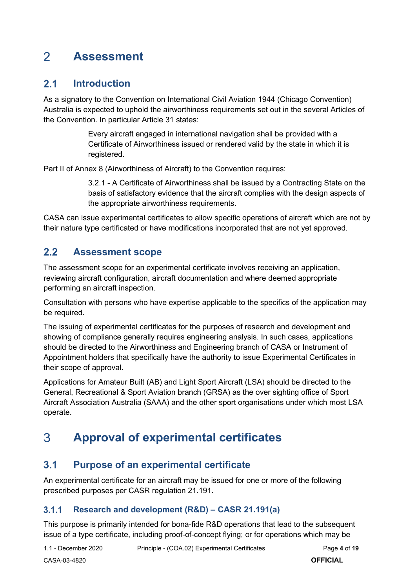### <span id="page-3-0"></span> $\overline{2}$ **Assessment**

### <span id="page-3-1"></span> $2.1$ **Introduction**

As a signatory to the Convention on International Civil Aviation 1944 (Chicago Convention) Australia is expected to uphold the airworthiness requirements set out in the several Articles of the Convention. In particular Article 31 states:

> Every aircraft engaged in international navigation shall be provided with a Certificate of Airworthiness issued or rendered valid by the state in which it is registered.

Part II of Annex 8 (Airworthiness of Aircraft) to the Convention requires:

3.2.1 - A Certificate of Airworthiness shall be issued by a Contracting State on the basis of satisfactory evidence that the aircraft complies with the design aspects of the appropriate airworthiness requirements.

CASA can issue experimental certificates to allow specific operations of aircraft which are not by their nature type certificated or have modifications incorporated that are not yet approved.

### <span id="page-3-2"></span> $2.2$ **Assessment scope**

The assessment scope for an experimental certificate involves receiving an application, reviewing aircraft configuration, aircraft documentation and where deemed appropriate performing an aircraft inspection.

Consultation with persons who have expertise applicable to the specifics of the application may be required.

The issuing of experimental certificates for the purposes of research and development and showing of compliance generally requires engineering analysis. In such cases, applications should be directed to the Airworthiness and Engineering branch of CASA or Instrument of Appointment holders that specifically have the authority to issue Experimental Certificates in their scope of approval.

Applications for Amateur Built (AB) and Light Sport Aircraft (LSA) should be directed to the General, Recreational & Sport Aviation branch (GRSA) as the over sighting office of Sport Aircraft Association Australia (SAAA) and the other sport organisations under which most LSA operate.

### <span id="page-3-3"></span>3 **Approval of experimental certificates**

### <span id="page-3-4"></span> $3.1$ **Purpose of an experimental certificate**

An experimental certificate for an aircraft may be issued for one or more of the following prescribed purposes per CASR regulation 21.191.

#### $3.1.1$ **Research and development (R&D) – CASR 21.191(a)**

This purpose is primarily intended for bona-fide R&D operations that lead to the subsequent issue of a type certificate, including proof-of-concept flying; or for operations which may be

1.1 - December 2020 Principle - (COA.02) Experimental Certificates Page **4** of **19**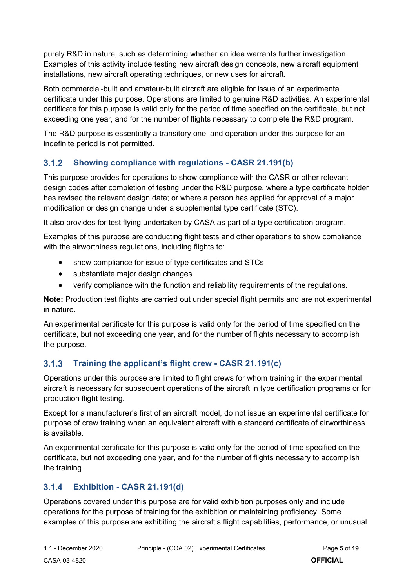purely R&D in nature, such as determining whether an idea warrants further investigation. Examples of this activity include testing new aircraft design concepts, new aircraft equipment installations, new aircraft operating techniques, or new uses for aircraft.

Both commercial-built and amateur-built aircraft are eligible for issue of an experimental certificate under this purpose. Operations are limited to genuine R&D activities. An experimental certificate for this purpose is valid only for the period of time specified on the certificate, but not exceeding one year, and for the number of flights necessary to complete the R&D program.

The R&D purpose is essentially a transitory one, and operation under this purpose for an indefinite period is not permitted.

#### $3.1.2$ **Showing compliance with regulations - CASR 21.191(b)**

This purpose provides for operations to show compliance with the CASR or other relevant design codes after completion of testing under the R&D purpose, where a type certificate holder has revised the relevant design data; or where a person has applied for approval of a major modification or design change under a supplemental type certificate (STC).

It also provides for test flying undertaken by CASA as part of a type certification program.

Examples of this purpose are conducting flight tests and other operations to show compliance with the airworthiness regulations, including flights to:

- show compliance for issue of type certificates and STCs
- substantiate major design changes
- verify compliance with the function and reliability requirements of the regulations.

**Note:** Production test flights are carried out under special flight permits and are not experimental in nature.

An experimental certificate for this purpose is valid only for the period of time specified on the certificate, but not exceeding one year, and for the number of flights necessary to accomplish the purpose.

#### $3.1.3$ **Training the applicant's flight crew - CASR 21.191(c)**

Operations under this purpose are limited to flight crews for whom training in the experimental aircraft is necessary for subsequent operations of the aircraft in type certification programs or for production flight testing.

Except for a manufacturer's first of an aircraft model, do not issue an experimental certificate for purpose of crew training when an equivalent aircraft with a standard certificate of airworthiness is available.

An experimental certificate for this purpose is valid only for the period of time specified on the certificate, but not exceeding one year, and for the number of flights necessary to accomplish the training.

#### $3.1.4$ **Exhibition - CASR 21.191(d)**

Operations covered under this purpose are for valid exhibition purposes only and include operations for the purpose of training for the exhibition or maintaining proficiency. Some examples of this purpose are exhibiting the aircraft's flight capabilities, performance, or unusual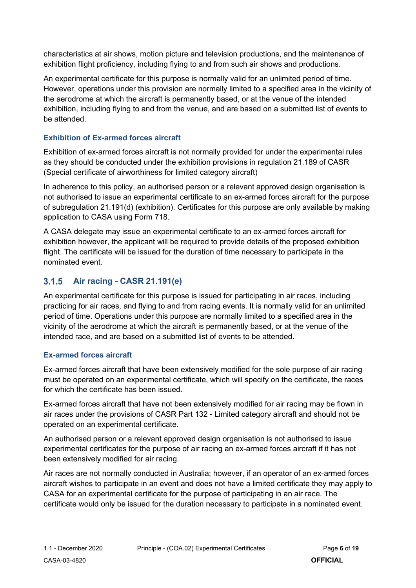characteristics at air shows, motion picture and television productions, and the maintenance of exhibition flight proficiency, including flying to and from such air shows and productions.

An experimental certificate for this purpose is normally valid for an unlimited period of time. However, operations under this provision are normally limited to a specified area in the vicinity of the aerodrome at which the aircraft is permanently based, or at the venue of the intended exhibition, including flying to and from the venue, and are based on a submitted list of events to be attended.

### **Exhibition of Ex-armed forces aircraft**

Exhibition of ex-armed forces aircraft is not normally provided for under the experimental rules as they should be conducted under the exhibition provisions in regulation 21.189 of CASR (Special certificate of airworthiness for limited category aircraft)

In adherence to this policy, an authorised person or a relevant approved design organisation is not authorised to issue an experimental certificate to an ex-armed forces aircraft for the purpose of subregulation 21.191(d) (exhibition). Certificates for this purpose are only available by making application to CASA using Form 718.

A CASA delegate may issue an experimental certificate to an ex-armed forces aircraft for exhibition however, the applicant will be required to provide details of the proposed exhibition flight. The certificate will be issued for the duration of time necessary to participate in the nominated event.

#### $3.1.5$ **Air racing - CASR 21.191(e)**

An experimental certificate for this purpose is issued for participating in air races, including practicing for air races, and flying to and from racing events. It is normally valid for an unlimited period of time. Operations under this purpose are normally limited to a specified area in the vicinity of the aerodrome at which the aircraft is permanently based, or at the venue of the intended race, and are based on a submitted list of events to be attended.

### **Ex-armed forces aircraft**

Ex-armed forces aircraft that have been extensively modified for the sole purpose of air racing must be operated on an experimental certificate, which will specify on the certificate, the races for which the certificate has been issued.

Ex-armed forces aircraft that have not been extensively modified for air racing may be flown in air races under the provisions of CASR Part 132 - Limited category aircraft and should not be operated on an experimental certificate.

An authorised person or a relevant approved design organisation is not authorised to issue experimental certificates for the purpose of air racing an ex-armed forces aircraft if it has not been extensively modified for air racing.

Air races are not normally conducted in Australia; however, if an operator of an ex-armed forces aircraft wishes to participate in an event and does not have a limited certificate they may apply to CASA for an experimental certificate for the purpose of participating in an air race. The certificate would only be issued for the duration necessary to participate in a nominated event.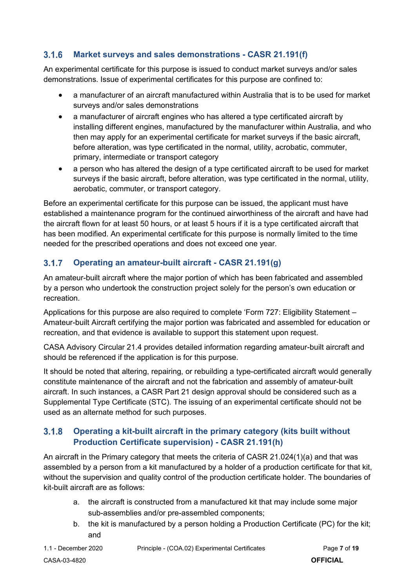#### $3.1.6$ **Market surveys and sales demonstrations - CASR 21.191(f)**

An experimental certificate for this purpose is issued to conduct market surveys and/or sales demonstrations. Issue of experimental certificates for this purpose are confined to:

- a manufacturer of an aircraft manufactured within Australia that is to be used for market surveys and/or sales demonstrations
- a manufacturer of aircraft engines who has altered a type certificated aircraft by installing different engines, manufactured by the manufacturer within Australia, and who then may apply for an experimental certificate for market surveys if the basic aircraft, before alteration, was type certificated in the normal, utility, acrobatic, commuter, primary, intermediate or transport category
- a person who has altered the design of a type certificated aircraft to be used for market surveys if the basic aircraft, before alteration, was type certificated in the normal, utility, aerobatic, commuter, or transport category.

Before an experimental certificate for this purpose can be issued, the applicant must have established a maintenance program for the continued airworthiness of the aircraft and have had the aircraft flown for at least 50 hours, or at least 5 hours if it is a type certificated aircraft that has been modified. An experimental certificate for this purpose is normally limited to the time needed for the prescribed operations and does not exceed one year.

#### $3.1.7$ **Operating an amateur-built aircraft - CASR 21.191(g)**

An amateur-built aircraft where the major portion of which has been fabricated and assembled by a person who undertook the construction project solely for the person's own education or recreation.

Applications for this purpose are also required to complete 'Form 727: Eligibility Statement – Amateur-built Aircraft certifying the major portion was fabricated and assembled for education or recreation, and that evidence is available to support this statement upon request.

CASA Advisory Circular 21.4 provides detailed information regarding amateur-built aircraft and should be referenced if the application is for this purpose.

It should be noted that altering, repairing, or rebuilding a type-certificated aircraft would generally constitute maintenance of the aircraft and not the fabrication and assembly of amateur-built aircraft. In such instances, a CASR Part 21 design approval should be considered such as a Supplemental Type Certificate (STC). The issuing of an experimental certificate should not be used as an alternate method for such purposes.

### $3.1.8$ **Operating a kit-built aircraft in the primary category (kits built without Production Certificate supervision) - CASR 21.191(h)**

An aircraft in the Primary category that meets the criteria of CASR 21.024(1)(a) and that was assembled by a person from a kit manufactured by a holder of a production certificate for that kit, without the supervision and quality control of the production certificate holder. The boundaries of kit-built aircraft are as follows:

- a. the aircraft is constructed from a manufactured kit that may include some major sub-assemblies and/or pre-assembled components;
- b. the kit is manufactured by a person holding a Production Certificate (PC) for the kit; and

1.1 - December 2020 Principle - (COA.02) Experimental Certificates Page **7** of **19**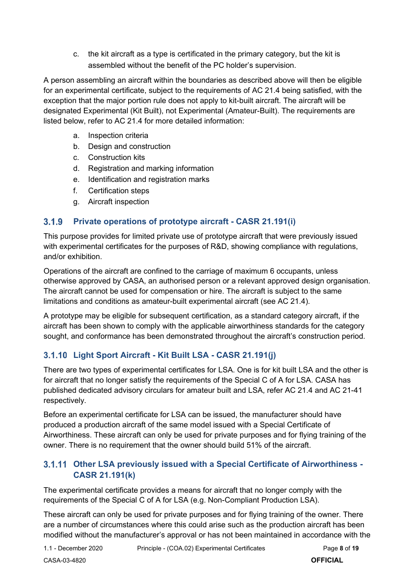c. the kit aircraft as a type is certificated in the primary category, but the kit is assembled without the benefit of the PC holder's supervision.

A person assembling an aircraft within the boundaries as described above will then be eligible for an experimental certificate, subject to the requirements of AC 21.4 being satisfied, with the exception that the major portion rule does not apply to kit-built aircraft. The aircraft will be designated Experimental (Kit Built), not Experimental (Amateur-Built). The requirements are listed below, refer to AC 21.4 for more detailed information:

- a. Inspection criteria
- b. Design and construction
- c. Construction kits
- d. Registration and marking information
- e. Identification and registration marks
- f. Certification steps
- g. Aircraft inspection

#### $3.1.9$ **Private operations of prototype aircraft - CASR 21.191(i)**

This purpose provides for limited private use of prototype aircraft that were previously issued with experimental certificates for the purposes of R&D, showing compliance with regulations, and/or exhibition.

Operations of the aircraft are confined to the carriage of maximum 6 occupants, unless otherwise approved by CASA, an authorised person or a relevant approved design organisation. The aircraft cannot be used for compensation or hire. The aircraft is subject to the same limitations and conditions as amateur-built experimental aircraft (see AC 21.4).

A prototype may be eligible for subsequent certification, as a standard category aircraft, if the aircraft has been shown to comply with the applicable airworthiness standards for the category sought, and conformance has been demonstrated throughout the aircraft's construction period.

### **Light Sport Aircraft - Kit Built LSA - CASR 21.191(j)**

There are two types of experimental certificates for LSA. One is for kit built LSA and the other is for aircraft that no longer satisfy the requirements of the Special C of A for LSA. CASA has published dedicated advisory circulars for amateur built and LSA, refer AC 21.4 and AC 21-41 respectively.

Before an experimental certificate for LSA can be issued, the manufacturer should have produced a production aircraft of the same model issued with a Special Certificate of Airworthiness. These aircraft can only be used for private purposes and for flying training of the owner. There is no requirement that the owner should build 51% of the aircraft.

### **Other LSA previously issued with a Special Certificate of Airworthiness - CASR 21.191(k)**

The experimental certificate provides a means for aircraft that no longer comply with the requirements of the Special C of A for LSA (e.g. Non-Compliant Production LSA).

These aircraft can only be used for private purposes and for flying training of the owner. There are a number of circumstances where this could arise such as the production aircraft has been modified without the manufacturer's approval or has not been maintained in accordance with the

1.1 - December 2020 Principle - (COA.02) Experimental Certificates Page **8** of **19**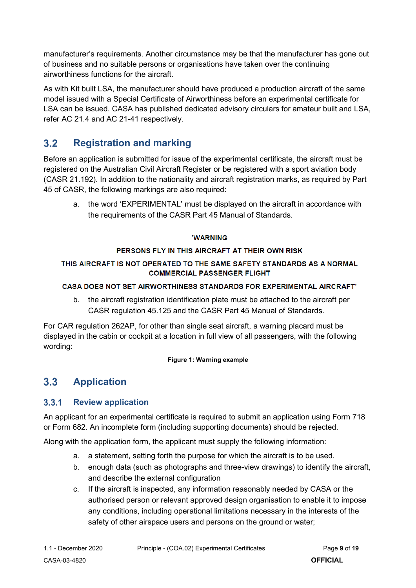manufacturer's requirements. Another circumstance may be that the manufacturer has gone out of business and no suitable persons or organisations have taken over the continuing airworthiness functions for the aircraft.

As with Kit built LSA, the manufacturer should have produced a production aircraft of the same model issued with a Special Certificate of Airworthiness before an experimental certificate for LSA can be issued. CASA has published dedicated advisory circulars for amateur built and LSA, refer AC 21.4 and AC 21-41 respectively.

### <span id="page-8-0"></span> $3.2$ **Registration and marking**

Before an application is submitted for issue of the experimental certificate, the aircraft must be registered on the Australian Civil Aircraft Register or be registered with a sport aviation body (CASR 21.192). In addition to the nationality and aircraft registration marks, as required by Part 45 of CASR, the following markings are also required:

a. the word 'EXPERIMENTAL' must be displayed on the aircraft in accordance with the requirements of the CASR Part 45 Manual of Standards.

### 'WARNING

### PERSONS FLY IN THIS AIRCRAFT AT THEIR OWN RISK

### THIS AIRCRAFT IS NOT OPERATED TO THE SAME SAFETY STANDARDS AS A NORMAL **COMMERCIAL PASSENGER FLIGHT**

### CASA DOES NOT SET AIRWORTHINESS STANDARDS FOR EXPERIMENTAL AIRCRAFT'

b. the aircraft registration identification plate must be attached to the aircraft per CASR regulation 45.125 and the CASR Part 45 Manual of Standards.

For CAR regulation 262AP, for other than single seat aircraft, a warning placard must be displayed in the cabin or cockpit at a location in full view of all passengers, with the following wording:

### **Figure 1: Warning example**

### <span id="page-8-1"></span> $3.3$ **Application**

#### $3.3.1$ **Review application**

An applicant for an experimental certificate is required to submit an application using Form 718 or Form 682. An incomplete form (including supporting documents) should be rejected.

Along with the application form, the applicant must supply the following information:

- a. a statement, setting forth the purpose for which the aircraft is to be used.
- b. enough data (such as photographs and three-view drawings) to identify the aircraft, and describe the external configuration
- c. If the aircraft is inspected, any information reasonably needed by CASA or the authorised person or relevant approved design organisation to enable it to impose any conditions, including operational limitations necessary in the interests of the safety of other airspace users and persons on the ground or water;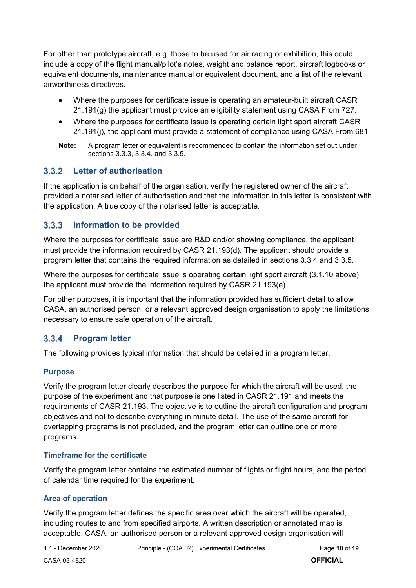For other than prototype aircraft, e.g. those to be used for air racing or exhibition, this could include a copy of the flight manual/pilot's notes, weight and balance report, aircraft logbooks or equivalent documents, maintenance manual or equivalent document, and a list of the relevant airworthiness directives.

- Where the purposes for certificate issue is operating an amateur-built aircraft CASR 21.191(g) the applicant must provide an eligibility statement using CASA From 727.
- Where the purposes for certificate issue is operating certain light sport aircraft CASR 21.191(j), the applicant must provide a statement of compliance using CASA From 681
- **Note:** A program letter or equivalent is recommended to contain the information set out under sections 3.3.3, 3.3.4. and 3.3.5.

#### $3.3.2$ **Letter of authorisation**

If the application is on behalf of the organisation, verify the registered owner of the aircraft provided a notarised letter of authorisation and that the information in this letter is consistent with the application. A true copy of the notarised letter is acceptable.

#### $3.3.3$ **Information to be provided**

Where the purposes for certificate issue are R&D and/or showing compliance, the applicant must provide the information required by CASR 21.193(d). The applicant should provide a program letter that contains the required information as detailed in sections 3.3.4 and 3.3.5.

Where the purposes for certificate issue is operating certain light sport aircraft (3.1.10 above), the applicant must provide the information required by CASR 21.193(e).

For other purposes, it is important that the information provided has sufficient detail to allow CASA, an authorised person, or a relevant approved design organisation to apply the limitations necessary to ensure safe operation of the aircraft.

#### $3.3.4$ **Program letter**

The following provides typical information that should be detailed in a program letter.

### **Purpose**

Verify the program letter clearly describes the purpose for which the aircraft will be used, the purpose of the experiment and that purpose is one listed in CASR 21.191 and meets the requirements of CASR 21.193. The objective is to outline the aircraft configuration and program objectives and not to describe everything in minute detail. The use of the same aircraft for overlapping programs is not precluded, and the program letter can outline one or more programs.

### **Timeframe for the certificate**

Verify the program letter contains the estimated number of flights or flight hours, and the period of calendar time required for the experiment.

### **Area of operation**

Verify the program letter defines the specific area over which the aircraft will be operated, including routes to and from specified airports. A written description or annotated map is acceptable. CASA, an authorised person or a relevant approved design organisation will

1.1 - December 2020 Principle - (COA.02) Experimental Certificates Page **10** of **19**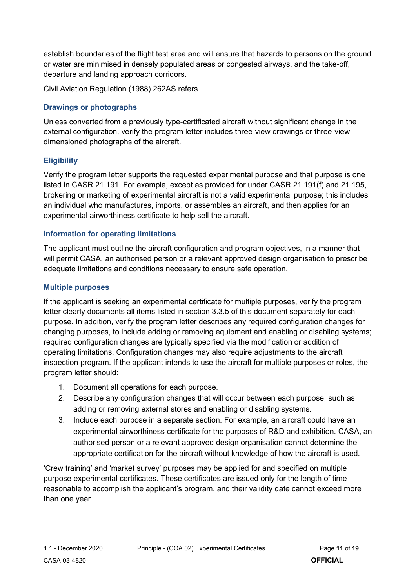establish boundaries of the flight test area and will ensure that hazards to persons on the ground or water are minimised in densely populated areas or congested airways, and the take-off, departure and landing approach corridors.

Civil Aviation Regulation (1988) 262AS refers.

### **Drawings or photographs**

Unless converted from a previously type-certificated aircraft without significant change in the external configuration, verify the program letter includes three-view drawings or three-view dimensioned photographs of the aircraft.

### **Eligibility**

Verify the program letter supports the requested experimental purpose and that purpose is one listed in CASR 21.191. For example, except as provided for under CASR 21.191(f) and 21.195, brokering or marketing of experimental aircraft is not a valid experimental purpose; this includes an individual who manufactures, imports, or assembles an aircraft, and then applies for an experimental airworthiness certificate to help sell the aircraft.

### **Information for operating limitations**

The applicant must outline the aircraft configuration and program objectives, in a manner that will permit CASA, an authorised person or a relevant approved design organisation to prescribe adequate limitations and conditions necessary to ensure safe operation.

### **Multiple purposes**

If the applicant is seeking an experimental certificate for multiple purposes, verify the program letter clearly documents all items listed in section 3.3.5 of this document separately for each purpose. In addition, verify the program letter describes any required configuration changes for changing purposes, to include adding or removing equipment and enabling or disabling systems; required configuration changes are typically specified via the modification or addition of operating limitations. Configuration changes may also require adjustments to the aircraft inspection program. If the applicant intends to use the aircraft for multiple purposes or roles, the program letter should:

- 1. Document all operations for each purpose.
- 2. Describe any configuration changes that will occur between each purpose, such as adding or removing external stores and enabling or disabling systems.
- 3. Include each purpose in a separate section. For example, an aircraft could have an experimental airworthiness certificate for the purposes of R&D and exhibition. CASA, an authorised person or a relevant approved design organisation cannot determine the appropriate certification for the aircraft without knowledge of how the aircraft is used.

'Crew training' and 'market survey' purposes may be applied for and specified on multiple purpose experimental certificates. These certificates are issued only for the length of time reasonable to accomplish the applicant's program, and their validity date cannot exceed more than one year.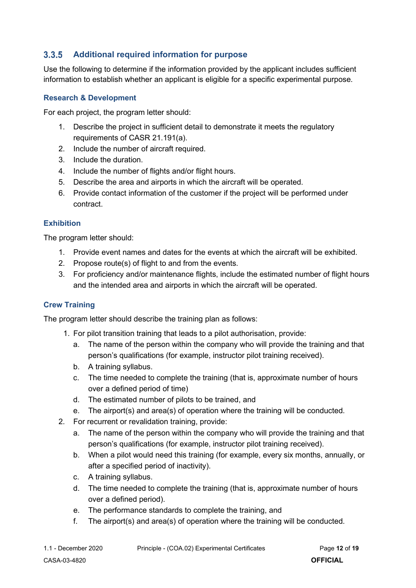#### <span id="page-11-0"></span> $3.3.5$ **Additional required information for purpose**

Use the following to determine if the information provided by the applicant includes sufficient information to establish whether an applicant is eligible for a specific experimental purpose.

### **Research & Development**

For each project, the program letter should:

- 1. Describe the project in sufficient detail to demonstrate it meets the regulatory requirements of CASR 21.191(a).
- 2. Include the number of aircraft required.
- 3. Include the duration.
- 4. Include the number of flights and/or flight hours.
- 5. Describe the area and airports in which the aircraft will be operated.
- 6. Provide contact information of the customer if the project will be performed under contract.

### **Exhibition**

The program letter should:

- 1. Provide event names and dates for the events at which the aircraft will be exhibited.
- 2. Propose route(s) of flight to and from the events.
- 3. For proficiency and/or maintenance flights, include the estimated number of flight hours and the intended area and airports in which the aircraft will be operated.

### **Crew Training**

The program letter should describe the training plan as follows:

- 1. For pilot transition training that leads to a pilot authorisation, provide:
	- a. The name of the person within the company who will provide the training and that person's qualifications (for example, instructor pilot training received).
	- b. A training syllabus.
	- c. The time needed to complete the training (that is, approximate number of hours over a defined period of time)
	- d. The estimated number of pilots to be trained, and
	- e. The airport(s) and area(s) of operation where the training will be conducted.
- 2. For recurrent or revalidation training, provide:
	- a. The name of the person within the company who will provide the training and that person's qualifications (for example, instructor pilot training received).
	- b. When a pilot would need this training (for example, every six months, annually, or after a specified period of inactivity).
	- c. A training syllabus.
	- d. The time needed to complete the training (that is, approximate number of hours over a defined period).
	- e. The performance standards to complete the training, and
	- f. The airport(s) and area(s) of operation where the training will be conducted.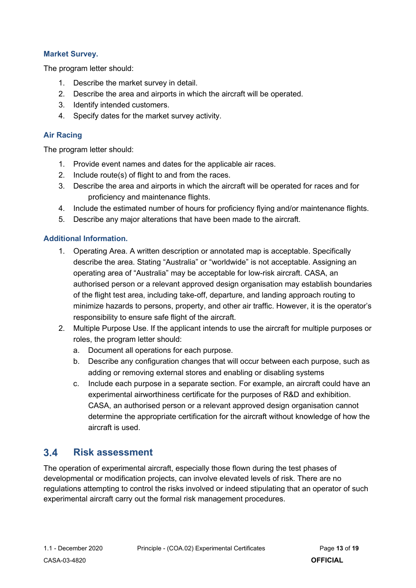### **Market Survey.**

The program letter should:

- 1. Describe the market survey in detail.
- 2. Describe the area and airports in which the aircraft will be operated.
- 3. Identify intended customers.
- 4. Specify dates for the market survey activity.

### **Air Racing**

The program letter should:

- 1. Provide event names and dates for the applicable air races.
- 2. Include route(s) of flight to and from the races.
- 3. Describe the area and airports in which the aircraft will be operated for races and for proficiency and maintenance flights.
- 4. Include the estimated number of hours for proficiency flying and/or maintenance flights.
- 5. Describe any major alterations that have been made to the aircraft.

### **Additional Information.**

- 1. Operating Area. A written description or annotated map is acceptable. Specifically describe the area. Stating "Australia" or "worldwide" is not acceptable. Assigning an operating area of "Australia" may be acceptable for low-risk aircraft. CASA, an authorised person or a relevant approved design organisation may establish boundaries of the flight test area, including take-off, departure, and landing approach routing to minimize hazards to persons, property, and other air traffic. However, it is the operator's responsibility to ensure safe flight of the aircraft.
- 2. Multiple Purpose Use. If the applicant intends to use the aircraft for multiple purposes or roles, the program letter should:
	- a. Document all operations for each purpose.
	- b. Describe any configuration changes that will occur between each purpose, such as adding or removing external stores and enabling or disabling systems
	- c. Include each purpose in a separate section. For example, an aircraft could have an experimental airworthiness certificate for the purposes of R&D and exhibition. CASA, an authorised person or a relevant approved design organisation cannot determine the appropriate certification for the aircraft without knowledge of how the aircraft is used.

### <span id="page-12-0"></span> $3.4$ **Risk assessment**

The operation of experimental aircraft, especially those flown during the test phases of developmental or modification projects, can involve elevated levels of risk. There are no regulations attempting to control the risks involved or indeed stipulating that an operator of such experimental aircraft carry out the formal risk management procedures.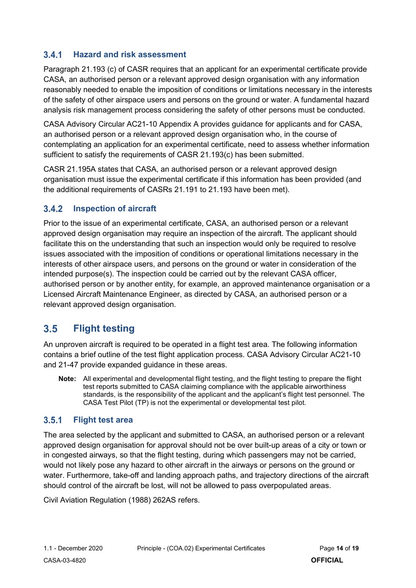#### $3.4.1$ **Hazard and risk assessment**

Paragraph 21.193 (c) of CASR requires that an applicant for an experimental certificate provide CASA, an authorised person or a relevant approved design organisation with any information reasonably needed to enable the imposition of conditions or limitations necessary in the interests of the safety of other airspace users and persons on the ground or water. A fundamental hazard analysis risk management process considering the safety of other persons must be conducted.

CASA Advisory Circular AC21-10 Appendix A provides guidance for applicants and for CASA, an authorised person or a relevant approved design organisation who, in the course of contemplating an application for an experimental certificate, need to assess whether information sufficient to satisfy the requirements of CASR 21.193(c) has been submitted.

CASR 21.195A states that CASA, an authorised person or a relevant approved design organisation must issue the experimental certificate if this information has been provided (and the additional requirements of CASRs 21.191 to 21.193 have been met).

#### $3.4.2$ **Inspection of aircraft**

Prior to the issue of an experimental certificate, CASA, an authorised person or a relevant approved design organisation may require an inspection of the aircraft. The applicant should facilitate this on the understanding that such an inspection would only be required to resolve issues associated with the imposition of conditions or operational limitations necessary in the interests of other airspace users, and persons on the ground or water in consideration of the intended purpose(s). The inspection could be carried out by the relevant CASA officer, authorised person or by another entity, for example, an approved maintenance organisation or a Licensed Aircraft Maintenance Engineer, as directed by CASA, an authorised person or a relevant approved design organisation.

### <span id="page-13-0"></span> $3.5$ **Flight testing**

An unproven aircraft is required to be operated in a flight test area. The following information contains a brief outline of the test flight application process. CASA Advisory Circular AC21-10 and 21-47 provide expanded guidance in these areas.

**Note:** All experimental and developmental flight testing, and the flight testing to prepare the flight test reports submitted to CASA claiming compliance with the applicable airworthiness standards, is the responsibility of the applicant and the applicant's flight test personnel. The CASA Test Pilot (TP) is not the experimental or developmental test pilot.

#### $3.5.1$ **Flight test area**

The area selected by the applicant and submitted to CASA, an authorised person or a relevant approved design organisation for approval should not be over built-up areas of a city or town or in congested airways, so that the flight testing, during which passengers may not be carried, would not likely pose any hazard to other aircraft in the airways or persons on the ground or water. Furthermore, take-off and landing approach paths, and trajectory directions of the aircraft should control of the aircraft be lost, will not be allowed to pass overpopulated areas.

Civil Aviation Regulation (1988) 262AS refers.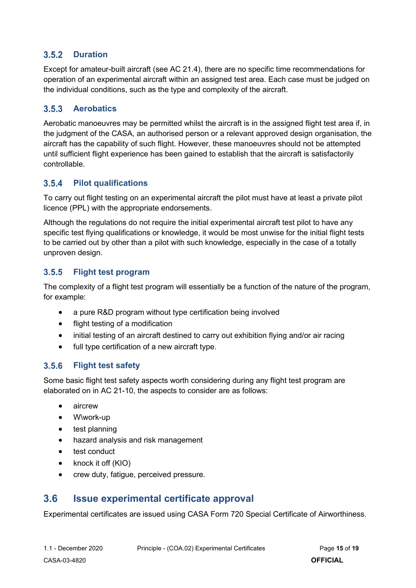#### $3.5.2$ **Duration**

Except for amateur-built aircraft (see AC 21.4), there are no specific time recommendations for operation of an experimental aircraft within an assigned test area. Each case must be judged on the individual conditions, such as the type and complexity of the aircraft.

#### $3.5.3$ **Aerobatics**

Aerobatic manoeuvres may be permitted whilst the aircraft is in the assigned flight test area if, in the judgment of the CASA, an authorised person or a relevant approved design organisation, the aircraft has the capability of such flight. However, these manoeuvres should not be attempted until sufficient flight experience has been gained to establish that the aircraft is satisfactorily controllable.

#### $3.5.4$ **Pilot qualifications**

To carry out flight testing on an experimental aircraft the pilot must have at least a private pilot licence (PPL) with the appropriate endorsements.

Although the regulations do not require the initial experimental aircraft test pilot to have any specific test flying qualifications or knowledge, it would be most unwise for the initial flight tests to be carried out by other than a pilot with such knowledge, especially in the case of a totally unproven design.

#### $3.5.5$ **Flight test program**

The complexity of a flight test program will essentially be a function of the nature of the program, for example:

- a pure R&D program without type certification being involved
- flight testing of a modification
- initial testing of an aircraft destined to carry out exhibition flying and/or air racing
- full type certification of a new aircraft type.

#### $3.5.6$ **Flight test safety**

Some basic flight test safety aspects worth considering during any flight test program are elaborated on in AC 21-10, the aspects to consider are as follows:

- aircrew
- W\work-up
- test planning
- hazard analysis and risk management
- test conduct
- knock it off (KIO)
- crew duty, fatigue, perceived pressure.

#### <span id="page-14-0"></span> $3.6$ **Issue experimental certificate approval**

Experimental certificates are issued using CASA Form 720 Special Certificate of Airworthiness.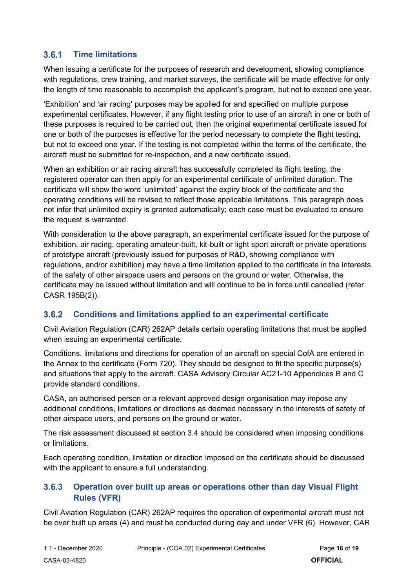#### $3.6.1$ **Time limitations**

When issuing a certificate for the purposes of research and development, showing compliance with regulations, crew training, and market surveys, the certificate will be made effective for only the length of time reasonable to accomplish the applicant's program, but not to exceed one year.

'Exhibition' and 'air racing' purposes may be applied for and specified on multiple purpose experimental certificates. However, if any flight testing prior to use of an aircraft in one or both of these purposes is required to be carried out, then the original experimental certificate issued for one or both of the purposes is effective for the period necessary to complete the flight testing, but not to exceed one year. If the testing is not completed within the terms of the certificate, the aircraft must be submitted for re-inspection, and a new certificate issued.

When an exhibition or air racing aircraft has successfully completed its flight testing, the registered operator can then apply for an experimental certificate of unlimited duration. The certificate will show the word 'unlimited' against the expiry block of the certificate and the operating conditions will be revised to reflect those applicable limitations. This paragraph does not infer that unlimited expiry is granted automatically; each case must be evaluated to ensure the request is warranted.

With consideration to the above paragraph, an experimental certificate issued for the purpose of exhibition, air racing, operating amateur-built, kit-built or light sport aircraft or private operations of prototype aircraft (previously issued for purposes of R&D, showing compliance with regulations, and/or exhibition) may have a time limitation applied to the certificate in the interests of the safety of other airspace users and persons on the ground or water. Otherwise, the certificate may be issued without limitation and will continue to be in force until cancelled (refer CASR 195B(2)).

#### $3.6.2$ **Conditions and limitations applied to an experimental certificate**

Civil Aviation Regulation (CAR) 262AP details certain operating limitations that must be applied when issuing an experimental certificate.

Conditions, limitations and directions for operation of an aircraft on special CofA are entered in the Annex to the certificate (Form 720). They should be designed to fit the specific purpose(s) and situations that apply to the aircraft. CASA Advisory Circular AC21-10 Appendices B and C provide standard conditions.

CASA, an authorised person or a relevant approved design organisation may impose any additional conditions, limitations or directions as deemed necessary in the interests of safety of other airspace users, and persons on the ground or water.

The risk assessment discussed at section 3.4 should be considered when imposing conditions or limitations.

Each operating condition, limitation or direction imposed on the certificate should be discussed with the applicant to ensure a full understanding.

### **Operation over built up areas or operations other than day Visual Flight**   $3.6.3$ **Rules (VFR)**

Civil Aviation Regulation (CAR) 262AP requires the operation of experimental aircraft must not be over built up areas (4) and must be conducted during day and under VFR (6). However, CAR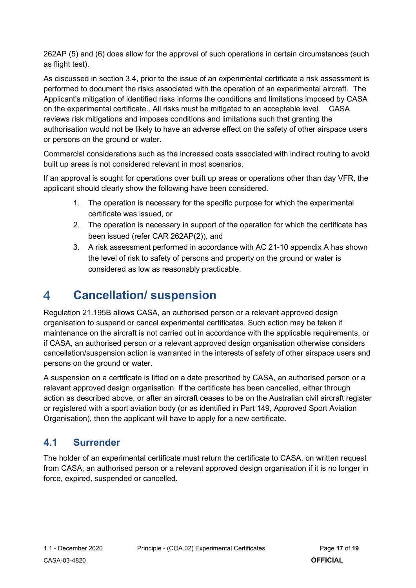262AP (5) and (6) does allow for the approval of such operations in certain circumstances (such as flight test).

As discussed in section 3.4, prior to the issue of an experimental certificate a risk assessment is performed to document the risks associated with the operation of an experimental aircraft. The Applicant's mitigation of identified risks informs the conditions and limitations imposed by CASA on the experimental certificate.. All risks must be mitigated to an acceptable level. CASA reviews risk mitigations and imposes conditions and limitations such that granting the authorisation would not be likely to have an adverse effect on the safety of other airspace users or persons on the ground or water.

Commercial considerations such as the increased costs associated with indirect routing to avoid built up areas is not considered relevant in most scenarios.

If an approval is sought for operations over built up areas or operations other than day VFR, the applicant should clearly show the following have been considered.

- 1. The operation is necessary for the specific purpose for which the experimental certificate was issued, or
- 2. The operation is necessary in support of the operation for which the certificate has been issued (refer CAR 262AP(2)), and
- 3. A risk assessment performed in accordance with AC 21-10 appendix A has shown the level of risk to safety of persons and property on the ground or water is considered as low as reasonably practicable.

### <span id="page-16-0"></span>4 **Cancellation/ suspension**

Regulation 21.195B allows CASA, an authorised person or a relevant approved design organisation to suspend or cancel experimental certificates. Such action may be taken if maintenance on the aircraft is not carried out in accordance with the applicable requirements, or if CASA, an authorised person or a relevant approved design organisation otherwise considers cancellation/suspension action is warranted in the interests of safety of other airspace users and persons on the ground or water.

A suspension on a certificate is lifted on a date prescribed by CASA, an authorised person or a relevant approved design organisation. If the certificate has been cancelled, either through action as described above, or after an aircraft ceases to be on the Australian civil aircraft register or registered with a sport aviation body (or as identified in Part 149, Approved Sport Aviation Organisation), then the applicant will have to apply for a new certificate.

### <span id="page-16-1"></span> $4.1$ **Surrender**

The holder of an experimental certificate must return the certificate to CASA, on written request from CASA, an authorised person or a relevant approved design organisation if it is no longer in force, expired, suspended or cancelled.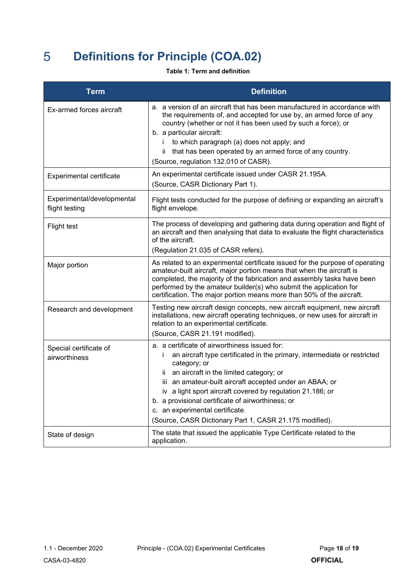### <span id="page-17-0"></span>5 **Definitions for Principle (COA.02)**

### **Table 1: Term and definition**

| <b>Term</b>                                  | <b>Definition</b>                                                                                                                                                                                                                                                                                                                                                                                                                                                               |  |
|----------------------------------------------|---------------------------------------------------------------------------------------------------------------------------------------------------------------------------------------------------------------------------------------------------------------------------------------------------------------------------------------------------------------------------------------------------------------------------------------------------------------------------------|--|
| Ex-armed forces aircraft                     | a. a version of an aircraft that has been manufactured in accordance with<br>the requirements of, and accepted for use by, an armed force of any<br>country (whether or not it has been used by such a force); or<br>b. a particular aircraft:<br>to which paragraph (a) does not apply; and<br>İ.<br>ii that has been operated by an armed force of any country.<br>(Source, regulation 132.010 of CASR).                                                                      |  |
| Experimental certificate                     | An experimental certificate issued under CASR 21.195A.<br>(Source, CASR Dictionary Part 1).                                                                                                                                                                                                                                                                                                                                                                                     |  |
| Experimental/developmental<br>flight testing | Flight tests conducted for the purpose of defining or expanding an aircraft's<br>flight envelope.                                                                                                                                                                                                                                                                                                                                                                               |  |
| Flight test                                  | The process of developing and gathering data during operation and flight of<br>an aircraft and then analysing that data to evaluate the flight characteristics<br>of the aircraft.<br>(Regulation 21.035 of CASR refers).                                                                                                                                                                                                                                                       |  |
| Major portion                                | As related to an experimental certificate issued for the purpose of operating<br>amateur-built aircraft, major portion means that when the aircraft is<br>completed, the majority of the fabrication and assembly tasks have been<br>performed by the amateur builder(s) who submit the application for<br>certification. The major portion means more than 50% of the aircraft.                                                                                                |  |
| Research and development                     | Testing new aircraft design concepts, new aircraft equipment, new aircraft<br>installations, new aircraft operating techniques, or new uses for aircraft in<br>relation to an experimental certificate.<br>(Source, CASR 21.191 modified).                                                                                                                                                                                                                                      |  |
| Special certificate of<br>airworthiness      | a. a certificate of airworthiness issued for:<br>an aircraft type certificated in the primary, intermediate or restricted<br>i.<br>category; or<br>an aircraft in the limited category; or<br>ii –<br>iii an amateur-built aircraft accepted under an ABAA; or<br>iv a light sport aircraft covered by regulation 21.186; or<br>b. a provisional certificate of airworthiness; or<br>c. an experimental certificate.<br>(Source, CASR Dictionary Part 1, CASR 21.175 modified). |  |
| State of design                              | The state that issued the applicable Type Certificate related to the<br>application.                                                                                                                                                                                                                                                                                                                                                                                            |  |